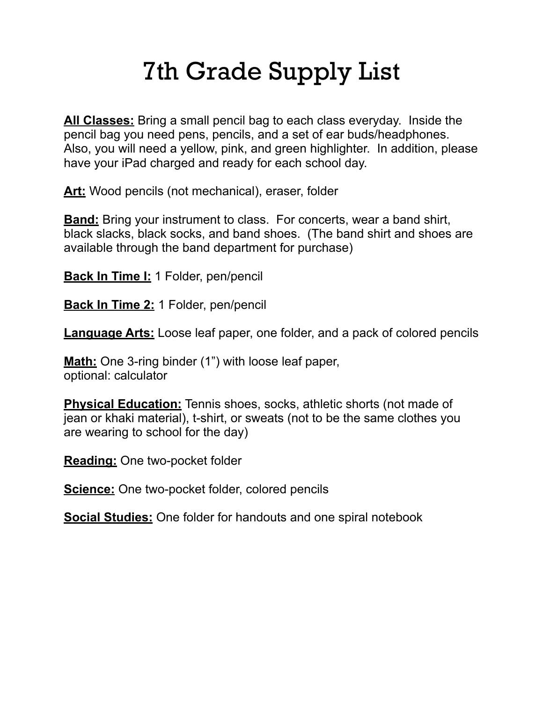## 7th Grade Supply List

**All Classes:** Bring a small pencil bag to each class everyday. Inside the pencil bag you need pens, pencils, and a set of ear buds/headphones. Also, you will need a yellow, pink, and green highlighter. In addition, please have your iPad charged and ready for each school day.

**Art:** Wood pencils (not mechanical), eraser, folder

**Band:** Bring your instrument to class. For concerts, wear a band shirt, black slacks, black socks, and band shoes. (The band shirt and shoes are available through the band department for purchase)

**Back In Time I:** 1 Folder, pen/pencil

**Back In Time 2:** 1 Folder, pen/pencil

**Language Arts:** Loose leaf paper, one folder, and a pack of colored pencils

**Math:** One 3-ring binder (1") with loose leaf paper, optional: calculator

**Physical Education:** Tennis shoes, socks, athletic shorts (not made of jean or khaki material), t-shirt, or sweats (not to be the same clothes you are wearing to school for the day)

**Reading:** One two-pocket folder

**Science:** One two-pocket folder, colored pencils

**Social Studies:** One folder for handouts and one spiral notebook